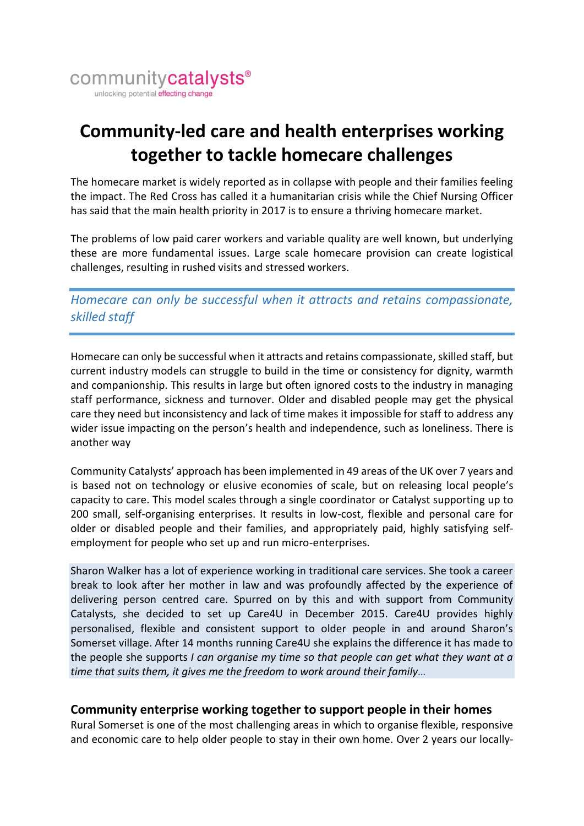

# **Community-led care and health enterprises working together to tackle homecare challenges**

The homecare market is widely reported as in collapse with people and their families feeling the impact. The Red Cross has called it a humanitarian crisis while the Chief Nursing Officer has said that the main health priority in 2017 is to ensure a thriving homecare market.

The problems of low paid carer workers and variable quality are well known, but underlying these are more fundamental issues. Large scale homecare provision can create logistical challenges, resulting in rushed visits and stressed workers.

*Homecare can only be successful when it attracts and retains compassionate, skilled staff*

Homecare can only be successful when it attracts and retains compassionate, skilled staff, but current industry models can struggle to build in the time or consistency for dignity, warmth and companionship. This results in large but often ignored costs to the industry in managing staff performance, sickness and turnover. Older and disabled people may get the physical care they need but inconsistency and lack of time makes it impossible for staff to address any wider issue impacting on the person's health and independence, such as loneliness. There is another way

Community Catalysts' approach has been implemented in 49 areas of the UK over 7 years and is based not on technology or elusive economies of scale, but on releasing local people's capacity to care. This model scales through a single coordinator or Catalyst supporting up to 200 small, self-organising enterprises. It results in low-cost, flexible and personal care for older or disabled people and their families, and appropriately paid, highly satisfying selfemployment for people who set up and run micro-enterprises.

Sharon Walker has a lot of experience working in traditional care services. She took a career break to look after her mother in law and was profoundly affected by the experience of delivering person centred care. Spurred on by this and with support from Community Catalysts, she decided to set up Care4U in December 2015. Care4U provides highly personalised, flexible and consistent support to older people in and around Sharon's Somerset village. After 14 months running Care4U she explains the difference it has made to the people she supports *I can organise my time so that people can get what they want at a time that suits them, it gives me the freedom to work around their family…*

#### **Community enterprise working together to support people in their homes**

Rural Somerset is one of the most challenging areas in which to organise flexible, responsive and economic care to help older people to stay in their own home. Over 2 years our locally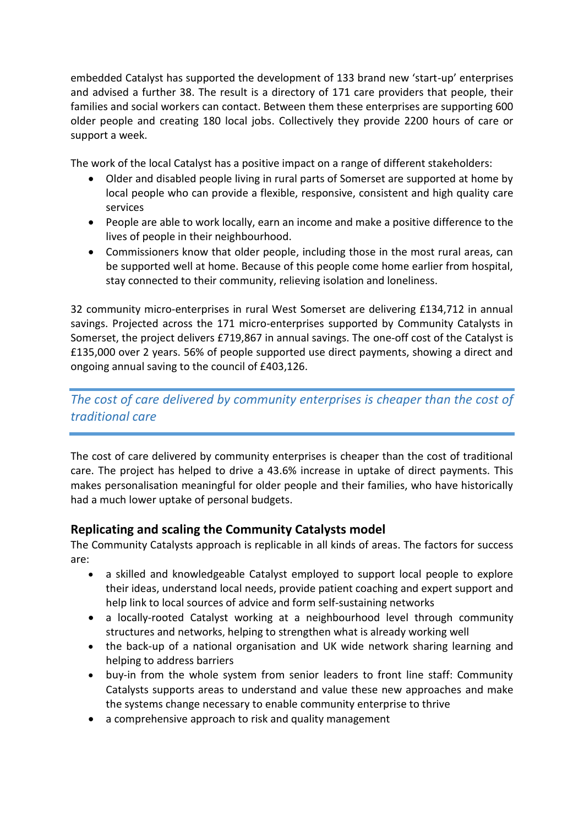embedded Catalyst has supported the development of 133 brand new 'start-up' enterprises and advised a further 38. The result is a directory of 171 care providers that people, their families and social workers can contact. Between them these enterprises are supporting 600 older people and creating 180 local jobs. Collectively they provide 2200 hours of care or support a week.

The work of the local Catalyst has a positive impact on a range of different stakeholders:

- Older and disabled people living in rural parts of Somerset are supported at home by local people who can provide a flexible, responsive, consistent and high quality care services
- People are able to work locally, earn an income and make a positive difference to the lives of people in their neighbourhood.
- Commissioners know that older people, including those in the most rural areas, can be supported well at home. Because of this people come home earlier from hospital, stay connected to their community, relieving isolation and loneliness.

32 community micro-enterprises in rural West Somerset are delivering £134,712 in annual savings. Projected across the 171 micro-enterprises supported by Community Catalysts in Somerset, the project delivers £719,867 in annual savings. The one-off cost of the Catalyst is £135,000 over 2 years. 56% of people supported use direct payments, showing a direct and ongoing annual saving to the council of £403,126.

*The cost of care delivered by community enterprises is cheaper than the cost of traditional care*

The cost of care delivered by community enterprises is cheaper than the cost of traditional care. The project has helped to drive a 43.6% increase in uptake of direct payments. This makes personalisation meaningful for older people and their families, who have historically had a much lower uptake of personal budgets.

#### **Replicating and scaling the Community Catalysts model**

The Community Catalysts approach is replicable in all kinds of areas. The factors for success are:

- a skilled and knowledgeable Catalyst employed to support local people to explore their ideas, understand local needs, provide patient coaching and expert support and help link to local sources of advice and form self-sustaining networks
- a locally-rooted Catalyst working at a neighbourhood level through community structures and networks, helping to strengthen what is already working well
- the back-up of a national organisation and UK wide network sharing learning and helping to address barriers
- buy-in from the whole system from senior leaders to front line staff: Community Catalysts supports areas to understand and value these new approaches and make the systems change necessary to enable community enterprise to thrive
- a comprehensive approach to risk and quality management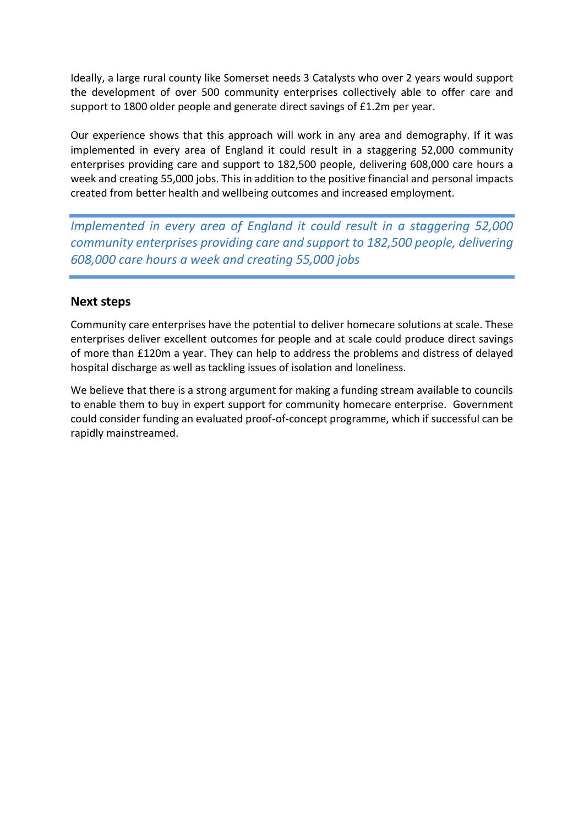Ideally, a large rural county like Somerset needs 3 Catalysts who over 2 years would support the development of over 500 community enterprises collectively able to offer care and support to 1800 older people and generate direct savings of £1.2m per year.

Our experience shows that this approach will work in any area and demography. If it was implemented in every area of England it could result in a staggering 52,000 community enterprises providing care and support to 182,500 people, delivering 608,000 care hours a week and creating 55,000 jobs. This in addition to the positive financial and personal impacts created from better health and wellbeing outcomes and increased employment.

*Implemented in every area of England it could result in a staggering 52,000 community enterprises providing care and support to 182,500 people, delivering 608,000 care hours a week and creating 55,000 jobs*

#### **Next steps**

Community care enterprises have the potential to deliver homecare solutions at scale. These enterprises deliver excellent outcomes for people and at scale could produce direct savings of more than £120m a year. They can help to address the problems and distress of delayed hospital discharge as well as tackling issues of isolation and loneliness.

We believe that there is a strong argument for making a funding stream available to councils to enable them to buy in expert support for community homecare enterprise. Government could consider funding an evaluated proof-of-concept programme, which if successful can be rapidly mainstreamed.